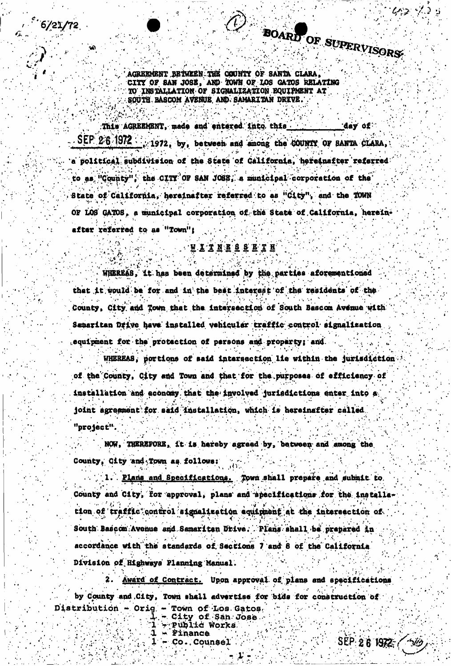$6/21/72$ 

BOARD OF SUPERVISORS

AGREEMENT BETWEEN THE COUNTY OF SANTA CLARA CITY OF SAN JOSE, AND TOWN OF LOS GATOS RELATING TO INSTALLATION OF SIGNALIZATION EQUIPMENT AT SOUTH BASCOM AVENUE AND SAMARITAN DRIVE.

This AGREEMENT, made and entered into this. day of . SEP 2.6 1972 : : 1972, by, between and among the COUNTY OF BANTA CLARA. a political subdivision of the State of California, hereinafter referred to as "County", the CITY OF SAN JOSE, a municipal corporation of the State of California, hereinafter referred to as "City", and the TOWN OF LOS GATOS, a municipal corporation of the State of California, hereinafter referred to as "Town":

**WITNESSETH** 

WHEREAS, it has been determined by the parties aforementioned that it would be for and in the best interest of the residents of the County, City and Town that the intersection of South Bascom Avenue with Samaritan Drive have installed vehicular traffic control signalization equipment for the protection of persons and property; and

WHEREAS, portions of said intersection lie within the jurisdiction of the County, City and Town and that for the purposes of efficiency of installation and economy that the involved jurisdictions enter into a joint agreement for said installation, which is hereinafter called. "project"

NOW, THEREFORE, it is hereby agreed by, between and among the County, Gity and Town as follows:

1. Plans and Specifications. Town shall prepare and submit to. County and City, for approval, plans and specifications for the installation of traffic control signalization equipment at the intersection of South Bascom Avenue and Samaritan Drive. Plans shall be prepared in accordance with the standards of Sections 7 and 8 of the California Division of Highways Planning Manual.

Award of Contract. Upon approval of plans and specifications by County and City, Town shall advertise for bids for construction of Distribution - Orig - Town of Los Gatos,

- City of San Jose<br>- Public Works **1 - Finance**  $1 - Co.$  Counsel

SEP 2 6 1972 / 3/19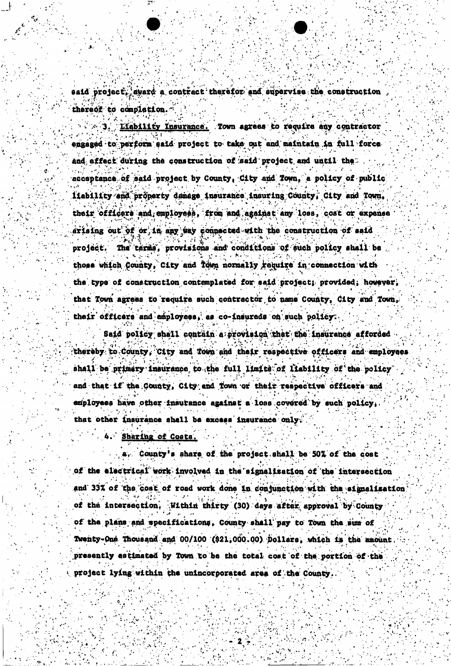said project, award a contract therefor and supervise the construction thereof to completion.

Liability Insurance. Town agrees to require any contractor engaged to perform eaid project to take out and maintain in full force. and effect during the construction of said project and until the acceptance of said project by County, City and Town, a policy of public liability and property damage insurance insuring County, City and Town, their officers and employees, from and against any loss, cost or expense arising out of or in any way connected with the construction of said project. The terms, provisions and conditions of such policy shall be those which County, City and Town normally require in connection with the type of construction contemplated for said project; provided, however, that Town agrees to require such contractor to name County, City and Town, their officers and employees, as co-insureds on such policy.

Said policy shall contain a provision that the insurance afforded thereby to County, City and Town and their respective officers and employees shall be primery insurance to the full limits of liability of the policy and that if the County, City and Town or their respective officers and employees have other insurance against a loss covered by such policy, that other insurance shall be excess insurance only.

# 4. Sharing of Costs.

a. County's share of the project shall be 50% of the cost of the electrical work involved in the signalization of the intersection and 33% of the cost of road work done in conjunction with the signalization of the intersection. Within thirty (30) days after approval by County of the plans and specifications, County shall pay to Town the sum of Twenty-One Thousand and 00/100 (921,000.00) Dollars, which is the amount presently estimated by Town to be the total cost of the portion of the project lying within the unincorporated area of the County.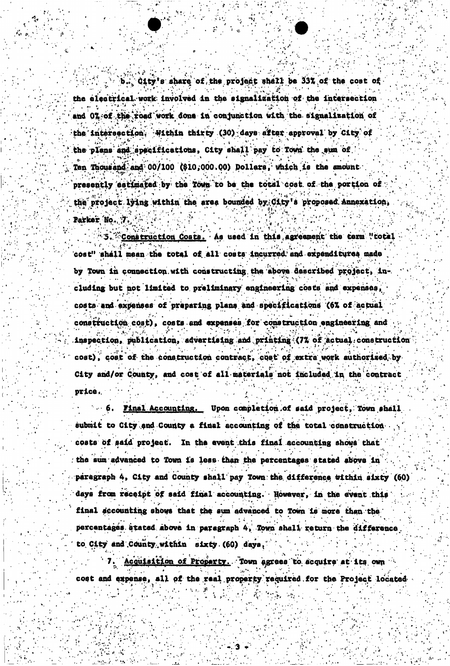b. City's share of the project shall be 33% of the cost of the electrical work involved in the signalization of the intersection and 0% of the road work done in conjunction with the signalization of the intersection. Within thirty (30) days after approval by City of the plans and specifications, City shall pay to Town the sum of Ten Thousand and 00/100 (\$10,000.00) Dollars, which is the amount presently estimated by the Town to be the total cost of the portion of the project lying within the area bounded by City's proposed Annexation, Parker No. 7.

5. Construction Costs. As used in this agreement the term "total cost" shall mean the total of all costs incurred and expenditures made by Town in connection with constructing the above described project. including but not limited to preliminary engineering costs and expenses, costs and expenses of preparing plans and specifications (6% of actual construction cost), costs and expenses for construction engineering and inspection, publication, advertising and printing (7% of actual construction cost), cost of the construction contract, cost of extra work authorized by City and/or County, and cost of all materials not included in the contract price.

6. Final Accounting. Upon completion of said project, Town shall submit to City and County a final accounting of the total construction costs of said project. In the event this final accounting shows that the sum advanced to Town is less than the percentages stated above in paragraph 4, City and County shall pay Town the difference within sixty (60) days from receipt of said final accounting. However, in the event this final accounting shows that the sum advanced to Town is more than the percentages stated above in paragraph 4, Town shall return the difference to City and County within sixty (60) days.

7. Acquisition of Property. Town agrees to acquire at its own cost and expense, all of the real property required for the Project located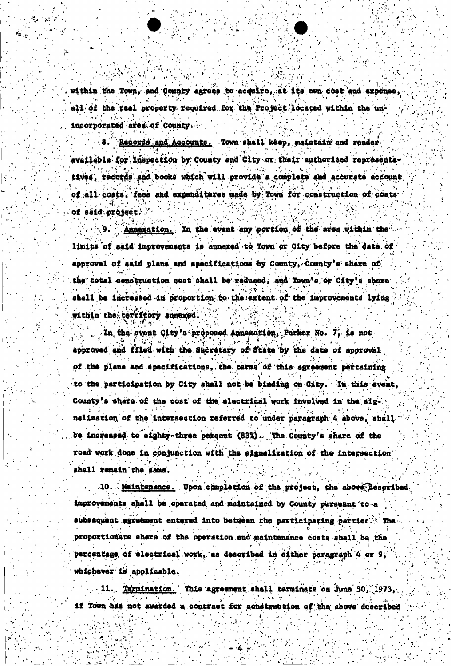within the Town, and County agrees to acquire, at its own cost and expense, all of the real property required for the Project located within the unincorporated area of County.

Records and Accounts. Town shall keep, maintain and render. available for inspection by County and City or their authorized representstives, records and books which will provide a complete and accurate account of all costs, fees and expenditures made by Town for construction of costs of said project.

Annexation. In the event any portion of the area within the limits of said improvements is annexed to Town or City before the date of approval of said plans and specifications by County, County's share of the total construction cost shall be reduced, and Town's or City's share shall be increased in proportion to the extent of the improvements lying within the territory snnexed.

In the event City's proposed Annexation, Parker No. 7, is not approved and filed with the Sucretary of State by the date of approval of the plans and specifications, the terms of this agreement pertaining to the participation by City shall not be binding on City. In this event, County's share of the cost of the electrical work involved in the signalization of the intersection referred to under paragraph 4 above, shall be increased to eighty-three percent (83%). The County's share of the road work done in conjunction with the signalization of the intersection shall remain the same.

10. Maintenance. Upon completion of the project, the above described improvements shall be operated and maintained by County pursuant to a subsequent agreement entered into between the participating partier. The proportionate share of the operation and maintenance costs shall be the percentage of electrical work, as described in either paragraph 4 or 9, whichever is applicable.

11. Termination. This agreement shall terminate on June 30, 1973. if Town has not awarded a contract for construction of the above described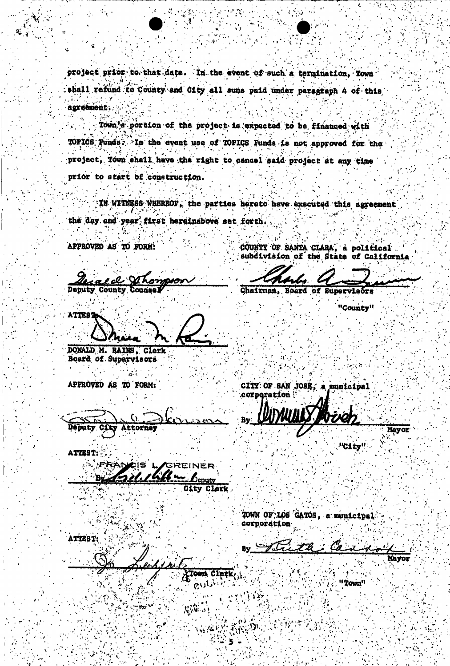project prior to that date. In the event of such a termination, Town shall refund to County and City all sums paid under paragraph 4 of this agreement.

Town's portion of the project is expected to be financed with TOPICS Funds. In the event use of TOPICS Funds is not approved for the project, Town shall have the right to cancel said project at any time prior to start of construction.

IN WITNESS WHEREOF, the parties hereto have executed this agreement the day and year first hereinabove set forth.

APPROVED AS TO FORM!

e de DIT <u>z vz</u> **Deputy County** 

COUNTY OF SANTA CLARA, a political<br>subdivision of the State of California

**Board** Chairman, **Supervis** 

CITY OF SAN JOSE, a municipal

corporation

"County"

"C1ty"

ATTEST

DONALD M. RAINS, Clerk Board of Supervisors

APPROVED AS TO FORM:

Deputy CD Attorney

ATTEST:

**FRANCIS I** REINER 'n. **Jenuty** 

ity Clerk

TOWN OF LOS GATOS, a municipal corporation

ATTEST:

Town Clerk o

Mayor

"Town"

 $\mathcal{L}_{\mathbf{G}}(k)$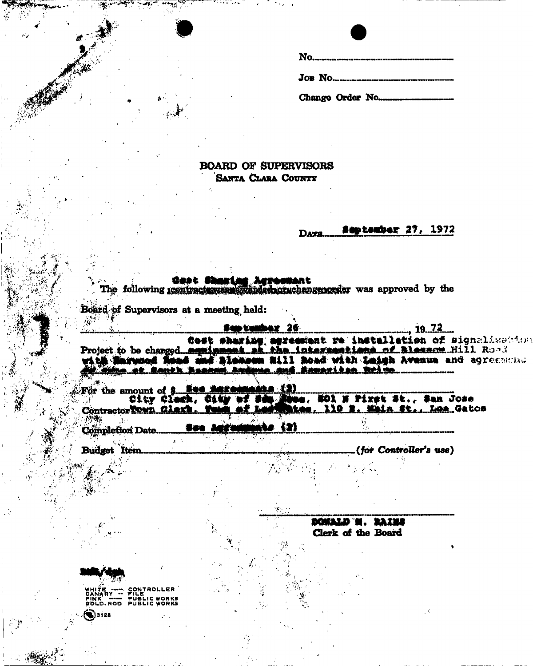# **BOARD OF SUPERVISORS** SANTA CLARA COUNTY

### **Suptember 27, 1972 DATE**

<u> 19. 72 </u>

Gest Sharing Agreement was approved by the The following geninates was also also the

Board of Supervisors at a meeting held:

San tanh

Cost sharing agreement re installation of signalized in

For the amount of \$ Nes Lars uers (2) City Clerk, City of Sec. **Mae, NO1 N Piret St., San Jose** tes, 110 %. Whin St., Los Gatos Contractor Town Clark. To

**Completion Date.** 

**Budget** Item (for Controller's use)

> DOMALD H. RAZES Clerk of the Board

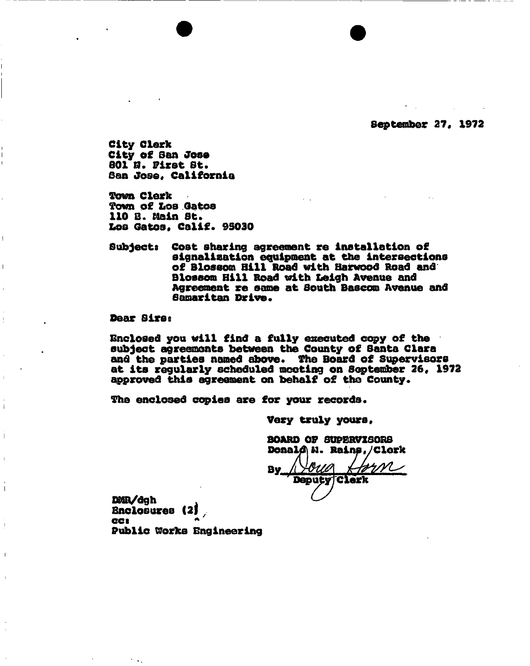**September 27, 1972** 

**City Clerk City of Son Jose 801 ft. First St. San Jos©, California** 

**Town Clerk Town of Los Gatos 110 B. Main St. Los Gatos, Calif\* 95030** 

**Subjects Cost sharing agreement re installation of signalisation equipment at the intersections of Blossom Bill Road with Harwood Road and Blossom Bill Road with Leigh Avenue and Agreement re same at South Bascom Avenue and Samaritan Drive.** 

## Dear Sirs:

 $\overline{1}$ 

 $\mathbb T$ 

**enclosed you will find a fully executed copy of the subject agreements between the County of Santa Clara**  and the parties named above. The Board of Supervisors **at its regularly scheduled meeting on September 26, 1972**  approved this agreement on behalf of the County.

The enclosed copies are for your records.

**Very truly yours** 

**BOARD OF SUPERVISORS** 

**By** <u>ouo</u> **Deputy Clerk** 

**Enclosures (2) CCS \* Public Works Engineering**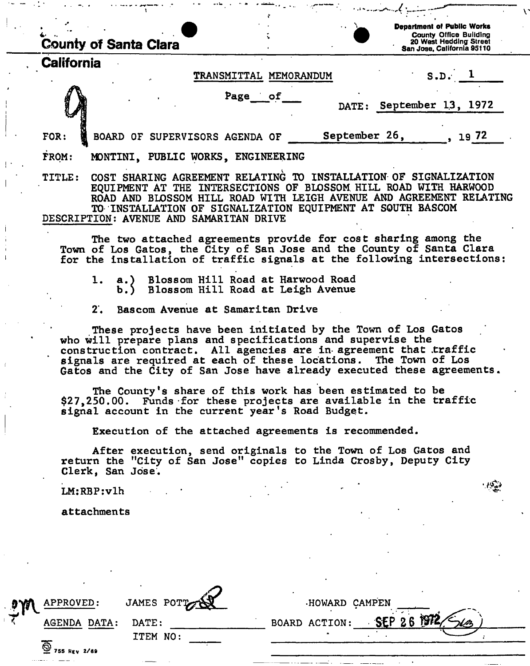| <b>County of Santa Clara</b>                                                                                                                                                                                                                                                                                                                  |                                                                                |                          | <b>Department of Public Works</b><br><b>County Office Building</b><br>20 West Hedding Street |
|-----------------------------------------------------------------------------------------------------------------------------------------------------------------------------------------------------------------------------------------------------------------------------------------------------------------------------------------------|--------------------------------------------------------------------------------|--------------------------|----------------------------------------------------------------------------------------------|
| California                                                                                                                                                                                                                                                                                                                                    |                                                                                |                          | San Jose, California 95110                                                                   |
|                                                                                                                                                                                                                                                                                                                                               | TRANSMITTAL MEMORANDUM                                                         |                          | $S.D.$ 1                                                                                     |
|                                                                                                                                                                                                                                                                                                                                               | Page of                                                                        | DATE: September 13, 1972 |                                                                                              |
| BOARD OF SUPERVISORS AGENDA OF<br>FOR:                                                                                                                                                                                                                                                                                                        |                                                                                | September 26,            | , 1972                                                                                       |
| FROM:<br>MONTINI, PUBLIC WORKS, ENGINEERING                                                                                                                                                                                                                                                                                                   |                                                                                |                          |                                                                                              |
| COST SHARING AGREEMENT RELATING TO INSTALLATION OF SIGNALIZATION<br><b>TITLE:</b><br>EQUIPMENT AT THE INTERSECTIONS OF BLOSSOM HILL ROAD WITH HARWOOD<br>ROAD AND BLOSSOM HILL ROAD WITH LEIGH AVENUE AND AGREEMENT RELATING<br>TO INSTALLATION OF SIGNALIZATION EQUIPMENT AT SOUTH BASCOM<br>DESCRIPTION: AVENUE AND SAMARITAN DRIVE         |                                                                                |                          |                                                                                              |
| The two attached agreements provide for cost sharing among the<br>Town of Los Gatos, the City of San Jose and the County of Santa Clara<br>for the installation of traffic signals at the following intersections:                                                                                                                            |                                                                                |                          |                                                                                              |
| 1.                                                                                                                                                                                                                                                                                                                                            | a.) Blossom Hill Road at Harwood Road<br>b.) Blossom Hill Road at Leigh Avenue |                          |                                                                                              |
| 2.                                                                                                                                                                                                                                                                                                                                            | Bascom Avenue at Samaritan Drive                                               |                          |                                                                                              |
| These projects have been initiated by the Town of Los Gatos<br>who will prepare plans and specifications and supervise the<br>construction contract. All agencies are in agreement that traffic<br>signals are required at each of these locations. The Town of Los<br>Gatos and the City of San Jose have already executed these agreements. |                                                                                |                          |                                                                                              |
| The County's share of this work has been estimated to be<br>\$27,250.00. Funds for these projects are available in the traffic<br>signal account in the current year's Road Budget.                                                                                                                                                           |                                                                                |                          |                                                                                              |
| Execution of the attached agreements is recommended.                                                                                                                                                                                                                                                                                          |                                                                                |                          |                                                                                              |
| After execution, send originals to the Town of Los Gatos and<br>return the "City of San Jose" copies to Linda Crosby, Deputy City<br>Clerk, San Jose.                                                                                                                                                                                         |                                                                                |                          |                                                                                              |
| LM:RBP: v1h                                                                                                                                                                                                                                                                                                                                   |                                                                                |                          |                                                                                              |
| attachments                                                                                                                                                                                                                                                                                                                                   |                                                                                |                          |                                                                                              |
|                                                                                                                                                                                                                                                                                                                                               |                                                                                |                          |                                                                                              |

 $\| \cdot \|$ 

 $\frac{1}{4}$ 

 $\bar{f}$ 

 $\mathbf{v}$ 

| $\mathbf{p}$ | APPROVED:    | JAMES POTT | HOWARD CAMPEN |
|--------------|--------------|------------|---------------|
|              | AGENDA DATA: | DATE:      | SEP 26        |
|              | 2/69         | ITEM NO:   | BOARD ACTION: |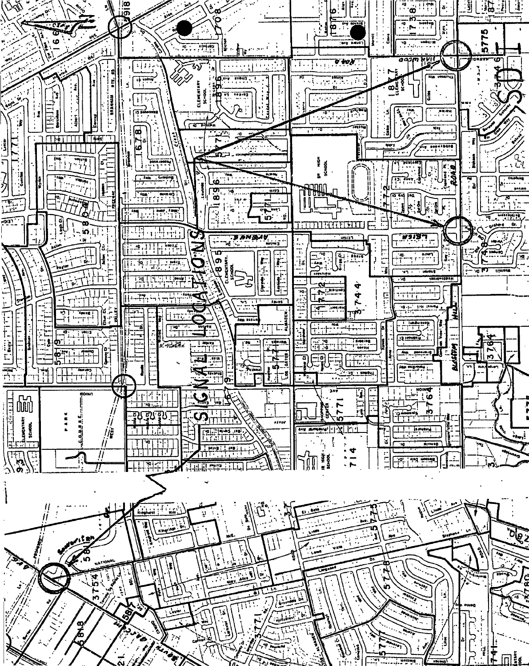